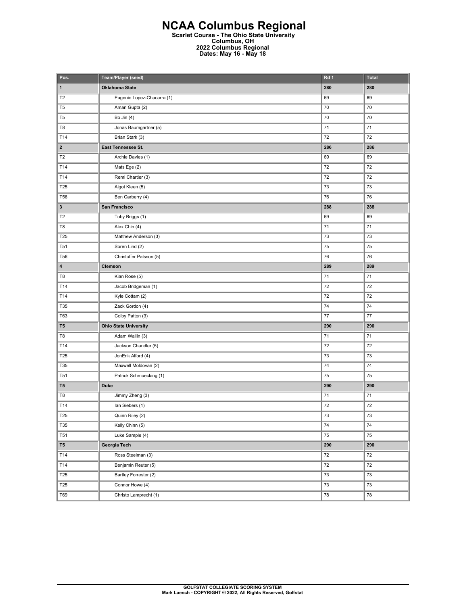## **NCAA Columbus Regional Scarlet Course - The Ohio State University Columbus, OH 2022 Columbus Regional Dates: May 16 - May 18**

| Pos.                    | Team/Player (seed)           | Rd 1   | <b>Total</b> |
|-------------------------|------------------------------|--------|--------------|
| $\mathbf{1}$            | <b>Oklahoma State</b>        | 280    | 280          |
| T <sub>2</sub>          | Eugenio Lopez-Chacarra (1)   | 69     | 69           |
| T <sub>5</sub>          | Aman Gupta (2)               | 70     | 70           |
| T <sub>5</sub>          | Bo Jin $(4)$                 | 70     | 70           |
| T8                      | Jonas Baumgartner (5)        | 71     | 71           |
| T14                     | Brian Stark (3)              | 72     | 72           |
| $\overline{\mathbf{2}}$ | East Tennessee St.           | 286    | 286          |
| T <sub>2</sub>          | Archie Davies (1)            | 69     | 69           |
| T14                     | Mats Ege (2)                 | 72     | 72           |
| T14                     | Remi Chartier (3)            | 72     | 72           |
| T25                     | Algot Kleen (5)              | 73     | 73           |
| <b>T56</b>              | Ben Carberry (4)             | 76     | 76           |
| 3                       | San Francisco                | 288    | 288          |
| T <sub>2</sub>          | Toby Briggs (1)              | 69     | 69           |
| T8                      | Alex Chin (4)                | 71     | 71           |
| T25                     | Matthew Anderson (3)         | 73     | 73           |
| T51                     | Soren Lind (2)               | 75     | 75           |
| <b>T56</b>              | Christoffer Palsson (5)      | 76     | 76           |
| 4                       | Clemson                      | 289    | 289          |
| T8                      | Kian Rose (5)                | 71     | 71           |
| T14                     | Jacob Bridgeman (1)          | 72     | 72           |
| T14                     | Kyle Cottam (2)              | 72     | 72           |
| T35                     | Zack Gordon (4)              | 74     | 74           |
| T63                     | Colby Patton (3)             | 77     | 77           |
| T <sub>5</sub>          | <b>Ohio State University</b> | 290    | 290          |
| T8                      | Adam Wallin (3)              | 71     | 71           |
| T14                     | Jackson Chandler (5)         | 72     | 72           |
| T25                     | JonErik Alford (4)           | 73     | 73           |
| T35                     | Maxwell Moldovan (2)         | 74     | 74           |
| T <sub>51</sub>         | Patrick Schmuecking (1)      | 75     | 75           |
| T <sub>5</sub>          | <b>Duke</b>                  | 290    | 290          |
| T8                      | Jimmy Zheng (3)              | 71     | 71           |
| T14                     | lan Siebers (1)              | 72     | 72           |
| T25                     | Quinn Riley (2)              | 73     | 73           |
| T35                     | Kelly Chinn (5)              | 74     | 74           |
| T51                     | Luke Sample (4)              | 75     | ${\bf 75}$   |
| T <sub>5</sub>          | Georgia Tech                 | 290    | 290          |
| T14                     | Ross Steelman (3)            | $72\,$ | $72\,$       |
| T14                     | Benjamin Reuter (5)          | 72     | 72           |
| <b>T25</b>              | Bartley Forrester (2)        | 73     | 73           |
| T <sub>25</sub>         | Connor Howe (4)              | 73     | $73\,$       |
| T69                     | Christo Lamprecht (1)        | 78     | 78           |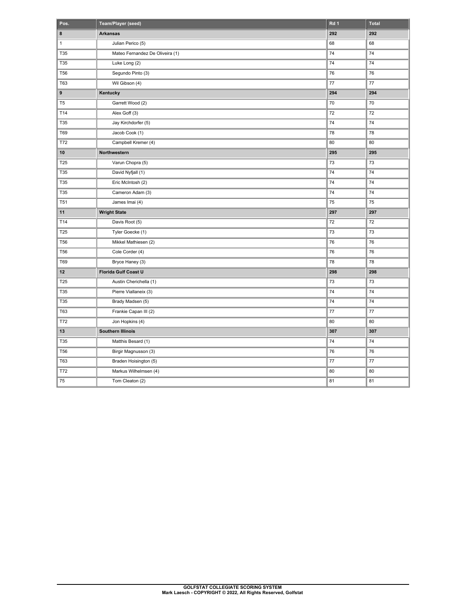| Pos.            | Team/Player (seed)              | Rd 1    | <b>Total</b> |
|-----------------|---------------------------------|---------|--------------|
| 8               | <b>Arkansas</b>                 | 292     | 292          |
| $\mathbf{1}$    | Julian Perico (5)               | 68      | 68           |
| T35             | Mateo Fernandez De Oliveira (1) | 74      | 74           |
| T35             | Luke Long (2)                   | 74      | 74           |
| <b>T56</b>      | Segundo Pinto (3)               | 76      | 76           |
| <b>T63</b>      | Wil Gibson (4)                  | $77 \,$ | $77 \,$      |
| 9               | Kentucky                        | 294     | 294          |
| T <sub>5</sub>  | Garrett Wood (2)                | 70      | 70           |
| T14             | Alex Goff (3)                   | 72      | 72           |
| T35             | Jay Kirchdorfer (5)             | 74      | 74           |
| T69             | Jacob Cook (1)                  | 78      | 78           |
| T72             | Campbell Kremer (4)             | 80      | 80           |
| 10              | Northwestern                    | 295     | 295          |
| T25             | Varun Chopra (5)                | 73      | 73           |
| T35             | David Nyfjall (1)               | 74      | 74           |
| T35             | Eric McIntosh (2)               | 74      | 74           |
| T35             | Cameron Adam (3)                | 74      | 74           |
| T <sub>51</sub> | James Imai (4)                  | 75      | 75           |
| 11              | <b>Wright State</b>             | 297     | 297          |
| T14             | Davis Root (5)                  | 72      | 72           |
| T25             | Tyler Goecke (1)                | 73      | 73           |
| <b>T56</b>      | Mikkel Mathiesen (2)            | 76      | 76           |
| <b>T56</b>      | Cole Corder (4)                 | 76      | 76           |
| T69             | Bryce Haney (3)                 | 78      | 78           |
| 12              | <b>Florida Gulf Coast U</b>     | 298     | 298          |
| T25             | Austin Cherichella (1)          | 73      | 73           |
| T35             | Pierre Viallaneix (3)           | 74      | 74           |
| T35             | Brady Madsen (5)                | 74      | 74           |
| <b>T63</b>      | Frankie Capan III (2)           | 77      | 77           |
| T72             | Jon Hopkins (4)                 | 80      | 80           |
| 13              | <b>Southern Illinois</b>        | 307     | 307          |
| T35             | Matthis Besard (1)              | 74      | 74           |
| <b>T56</b>      | Birgir Magnusson (3)            | 76      | 76           |
| <b>T63</b>      | Braden Hoisington (5)           | 77      | $77 \,$      |
| T72             | Markus Wilhelmsen (4)           | 80      | 80           |
| 75              | Tom Cleaton (2)                 | 81      | 81           |